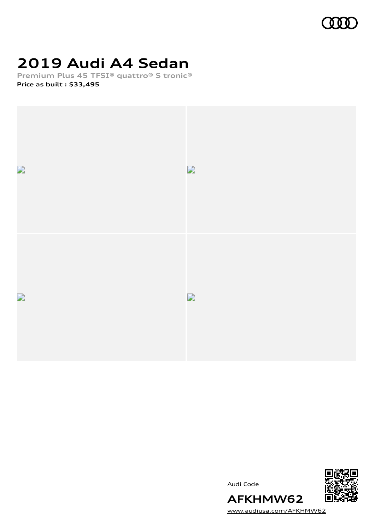

# **2019 Audi A4 Sedan**

**Premium Plus 45 TFSI® quattro® S tronic® Price as built [:](#page-8-0) \$33,495**







[www.audiusa.com/AFKHMW62](https://www.audiusa.com/AFKHMW62)

**AFKHMW62**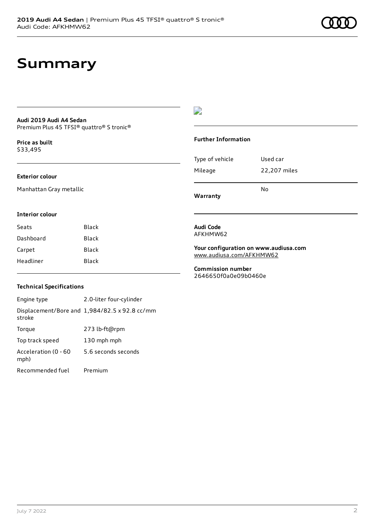## **Summary**

### **Audi 2019 Audi A4 Sedan** Premium Plus 45 TFSI® quattro® S tronic®

**Price as buil[t](#page-8-0)** \$33,495

### **Exterior colour**

Manhattan Gray metallic

### D

### **Further Information**

| Warranty        | N٥           |
|-----------------|--------------|
| Mileage         | 22,207 miles |
| Type of vehicle | Used car     |

### **Interior colour**

| Black |
|-------|
| Black |
| Black |
| Black |
|       |

### **Audi Code** AFKHMW62

### **Your configuration on www.audiusa.com** [www.audiusa.com/AFKHMW62](https://www.audiusa.com/AFKHMW62)

**Commission number** 2646650f0a0e09b0460e

### **Technical Specifications**

Engine type 2.0-liter four-cylinder Displacement/Bore and 1,984/82.5 x 92.8 cc/mm stroke Torque 273 lb-ft@rpm Top track speed 130 mph mph Acceleration (0 - 60 mph) 5.6 seconds seconds Recommended fuel Premium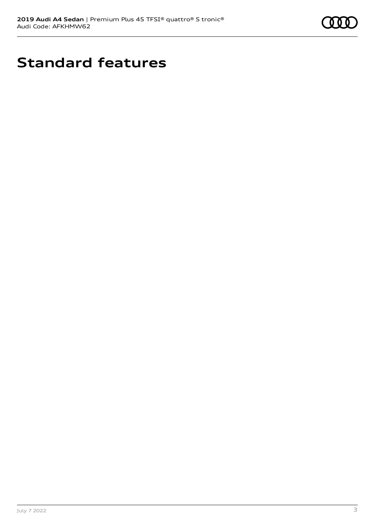

# **Standard features**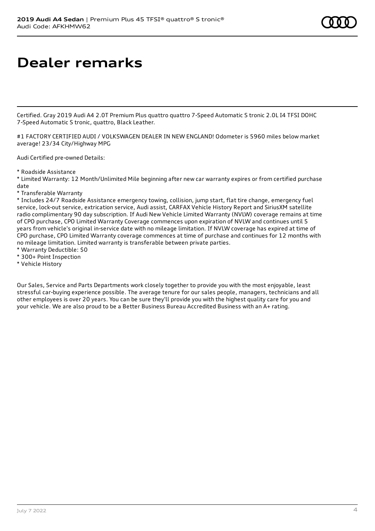## **Dealer remarks**

Certified. Gray 2019 Audi A4 2.0T Premium Plus quattro quattro 7-Speed Automatic S tronic 2.0L I4 TFSI DOHC 7-Speed Automatic S tronic, quattro, Black Leather.

#1 FACTORY CERTIFIED AUDI / VOLKSWAGEN DEALER IN NEW ENGLAND! Odometer is 5960 miles below market average! 23/34 City/Highway MPG

Audi Certified pre-owned Details:

\* Roadside Assistance

\* Limited Warranty: 12 Month/Unlimited Mile beginning after new car warranty expires or from certified purchase date

\* Transferable Warranty

\* Includes 24/7 Roadside Assistance emergency towing, collision, jump start, flat tire change, emergency fuel service, lock-out service, extrication service, Audi assist, CARFAX Vehicle History Report and SiriusXM satellite radio complimentary 90 day subscription. If Audi New Vehicle Limited Warranty (NVLW) coverage remains at time of CPO purchase, CPO Limited Warranty Coverage commences upon expiration of NVLW and continues until 5 years from vehicle's original in-service date with no mileage limitation. If NVLW coverage has expired at time of CPO purchase, CPO Limited Warranty coverage commences at time of purchase and continues for 12 months with no mileage limitation. Limited warranty is transferable between private parties.

- \* Warranty Deductible: \$0
- \* 300+ Point Inspection
- \* Vehicle History

Our Sales, Service and Parts Departments work closely together to provide you with the most enjoyable, least stressful car-buying experience possible. The average tenure for our sales people, managers, technicians and all other employees is over 20 years. You can be sure they'll provide you with the highest quality care for you and your vehicle. We are also proud to be a Better Business Bureau Accredited Business with an A+ rating.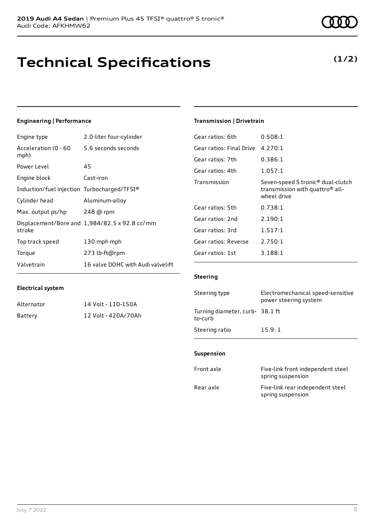## **Technical Specifications**

July 7 2022 5

## **Engineering | Performance**

**Electrical system**

Engine type 2.0-liter four-cylinder

Alternator 14 Volt - 110-150A Battery 12 Volt - 420A/70Ah

| Acceleration (0 - 60 5.6 seconds seconds<br>mph) |                                               |
|--------------------------------------------------|-----------------------------------------------|
| Power Level                                      | 45                                            |
| Engine block                                     | Cast-iron                                     |
| Induction/fuel injection Turbocharged/TFSI®      |                                               |
| Cylinder head                                    | Aluminum-alloy                                |
| Max. output ps/hp $248$ @ rpm                    |                                               |
| stroke                                           | Displacement/Bore and 1,984/82.5 x 92.8 cc/mm |
| Top track speed                                  | 130 mph mph                                   |
| Torque                                           | 273 lb-ft@rpm                                 |
| Valvetrain                                       | 16 valve DOHC with Audi valvelift             |

### **Transmission | Drivetrain**

| Gear ratios: 6th         | 0.508:1                                                                                                     |
|--------------------------|-------------------------------------------------------------------------------------------------------------|
| Gear ratios: Final Drive | 4.270:1                                                                                                     |
| Gear ratios: 7th         | 0.386:1                                                                                                     |
| Gear ratios: 4th         | 1.057:1                                                                                                     |
| Transmission             | Seven-speed S tronic <sup>®</sup> dual-clutch<br>transmission with quattro <sup>®</sup> all-<br>wheel drive |
| Gear ratios: 5th         | 0.738:1                                                                                                     |
| Gear ratios: 2nd         | 2.190:1                                                                                                     |
| Gear ratios: 3rd         | 1.517:1                                                                                                     |
| Gear ratios: Reverse     | 2.750:1                                                                                                     |
| Gear ratios: 1st         | 3.188:1                                                                                                     |

### **Steering**

| Steering type                             | Electromechanical speed-sensitive<br>power steering system |
|-------------------------------------------|------------------------------------------------------------|
| Turning diameter, curb-38.1 ft<br>to-curb |                                                            |
| Steering ratio                            | 15.9:1                                                     |

#### **Suspension**

| Front axle | Five-link front independent steel<br>spring suspension |
|------------|--------------------------------------------------------|
| Rear axle  | Five-link rear independent steel<br>spring suspension  |

### **(1/2)**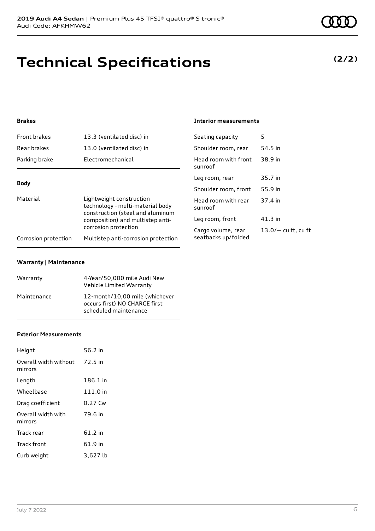# **Technical Specifications**

### **Brakes**

| Front brakes                                                                                                                                     | 13.3 (ventilated disc) in                                   | Seating capacity                          | 5                    |
|--------------------------------------------------------------------------------------------------------------------------------------------------|-------------------------------------------------------------|-------------------------------------------|----------------------|
| Rear brakes                                                                                                                                      | 13.0 (ventilated disc) in                                   | Shoulder room, rear                       | 54.5 in              |
| Parking brake                                                                                                                                    | Electromechanical                                           | Head room with front<br>sunroof           | 38.9 in              |
| <b>Body</b>                                                                                                                                      |                                                             | Leg room, rear                            | 35.7 in              |
|                                                                                                                                                  |                                                             | Shoulder room, front                      | 55.9 in              |
| Material<br>Lightweight construction<br>technology - multi-material body<br>construction (steel and aluminum<br>composition) and multistep anti- | Head room with rear<br>sunroof                              | 37.4 in                                   |                      |
|                                                                                                                                                  | Leg room, front                                             | $41.3$ in                                 |                      |
| Corrosion protection                                                                                                                             | corrosion protection<br>Multistep anti-corrosion protection | Cargo volume, rear<br>seatbacks up/folded | $13.0/-$ cu ft, cu f |
|                                                                                                                                                  |                                                             |                                           |                      |

### **Warranty | Maintenance**

| Warranty    | 4-Year/50,000 mile Audi New<br>Vehicle Limited Warranty                                  |
|-------------|------------------------------------------------------------------------------------------|
| Maintenance | 12-month/10.00 mile (whichever<br>occurs first) NO CHARGE first<br>scheduled maintenance |

### **Exterior Measurements**

| Height                           | 56.2 in   |
|----------------------------------|-----------|
| Overall width without<br>mirrors | 72.5 in   |
| Length                           | 186.1 in  |
| Wheelbase                        | 111.0 in  |
| Drag coefficient                 | 0.27 Cw   |
| Overall width with<br>mirrors    | 79.6 in   |
| Track rear                       | $61.2$ in |
| Track front                      | 61.9 in   |
| Curb weight                      | 3,627 lb  |

## **(2/2)**

| Shoulder room, rear                       | 54.5 in               |
|-------------------------------------------|-----------------------|
| Head room with front<br>sunroof           | 38.9 in               |
| Leg room, rear                            | 35.7 in               |
| Shoulder room, front                      | 55.9 in               |
| Head room with rear<br>sunroof            | 37.4 in               |
| Leg room, front                           | 41.3 in               |
| Cargo volume, rear<br>seatbacks up/folded | $13.0/-$ cu ft, cu ft |

**Interior measurements**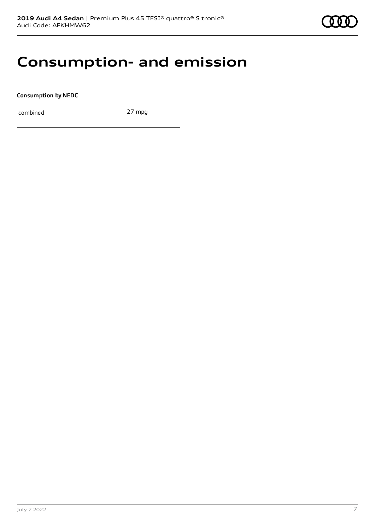## **Consumption- and emission**

**Consumption by NEDC**

combined 27 mpg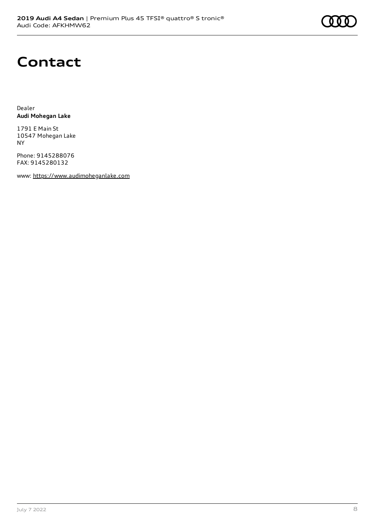# **Contact**

Dealer **Audi Mohegan Lake**

1791 E Main St 10547 Mohegan Lake NY

Phone: 9145288076 FAX: 9145280132

www: [https://www.audimoheganlake.com](https://www.audimoheganlake.com/)